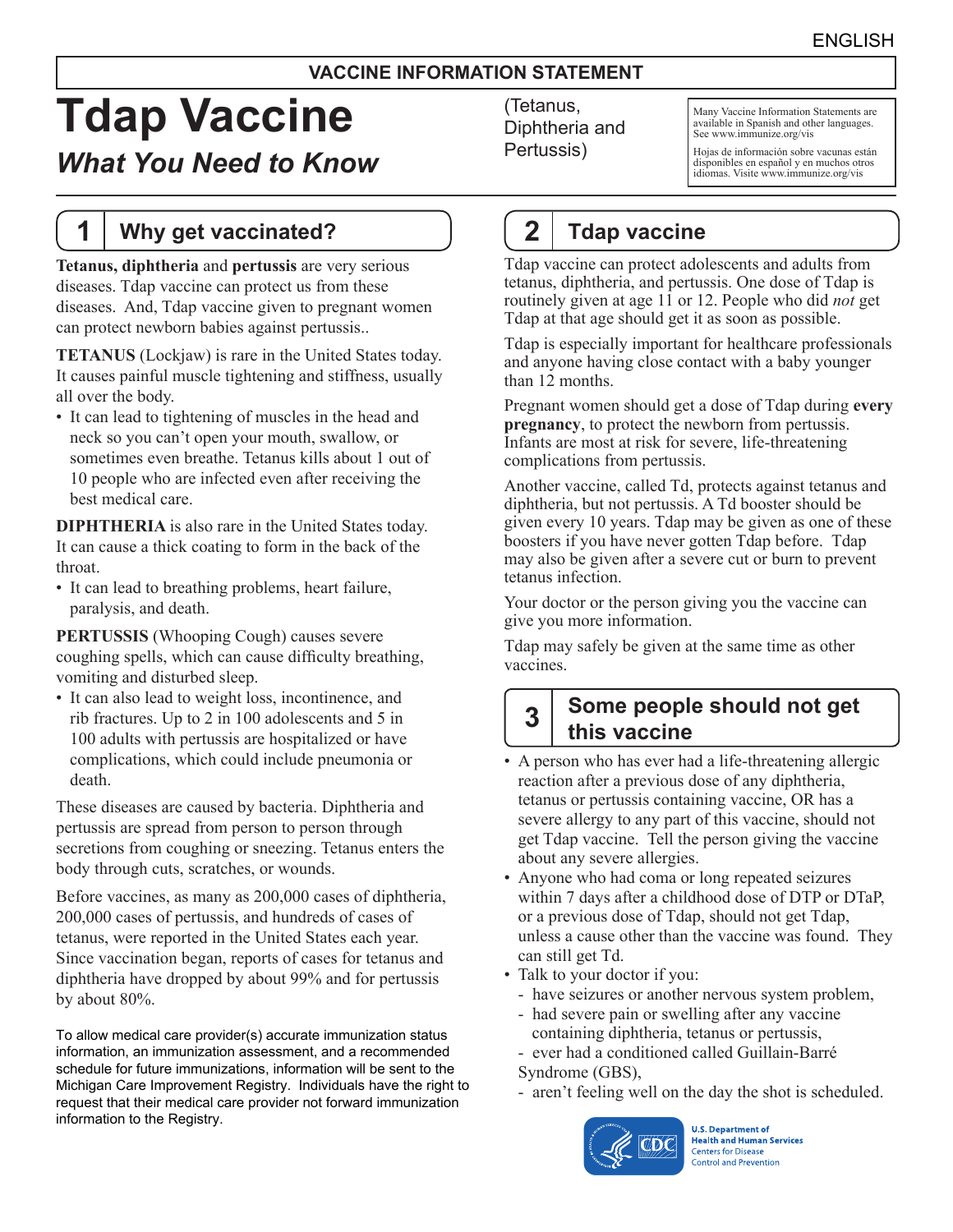#### **VACCINE INFORMATION STATEMENT**

# **Tdap Vaccine**

# *What You Need to Know*

### **1 Why get vaccinated?**

**Tetanus, diphtheria** and **pertussis** are very serious diseases. Tdap vaccine can protect us from these diseases. And, Tdap vaccine given to pregnant women can protect newborn babies against pertussis..

**TETANUS** (Lockjaw) is rare in the United States today. It causes painful muscle tightening and stiffness, usually all over the body.

• It can lead to tightening of muscles in the head and neck so you can't open your mouth, swallow, or sometimes even breathe. Tetanus kills about 1 out of 10 people who are infected even after receiving the best medical care.

**DIPHTHERIA** is also rare in the United States today. It can cause a thick coating to form in the back of the throat.

• It can lead to breathing problems, heart failure, paralysis, and death.

**PERTUSSIS** (Whooping Cough) causes severe coughing spells, which can cause difficulty breathing, vomiting and disturbed sleep.

• It can also lead to weight loss, incontinence, and rib fractures. Up to 2 in 100 adolescents and 5 in 100 adults with pertussis are hospitalized or have complications, which could include pneumonia or death.

These diseases are caused by bacteria. Diphtheria and pertussis are spread from person to person through secretions from coughing or sneezing. Tetanus enters the body through cuts, scratches, or wounds.

Before vaccines, as many as 200,000 cases of diphtheria, 200,000 cases of pertussis, and hundreds of cases of tetanus, were reported in the United States each year. Since vaccination began, reports of cases for tetanus and diphtheria have dropped by about 99% and for pertussis by about 80%.

To allow medical care provider(s) accurate immunization status information, an immunization assessment, and a recommended schedule for future immunizations, information will be sent to the Michigan Care Improvement Registry. Individuals have the right to request that their medical care provider not forward immunization information to the Registry.

(Tetanus, Diphtheria and Pertussis)

Many Vaccine Information Statements are available in Spanish and other languages. See www.immunize.org/vis

Hojas de información sobre vacunas están disponibles en español y en muchos otros idiomas. Visite www.immunize.org/vis

# **2 Tdap vaccine**

Tdap vaccine can protect adolescents and adults from tetanus, diphtheria, and pertussis. One dose of Tdap is routinely given at age 11 or 12. People who did *not* get Tdap at that age should get it as soon as possible.

Tdap is especially important for healthcare professionals and anyone having close contact with a baby younger than 12 months.

Pregnant women should get a dose of Tdap during **every pregnancy**, to protect the newborn from pertussis. Infants are most at risk for severe, life-threatening complications from pertussis.

Another vaccine, called Td, protects against tetanus and diphtheria, but not pertussis. A Td booster should be given every 10 years. Tdap may be given as one of these boosters if you have never gotten Tdap before. Tdap may also be given after a severe cut or burn to prevent tetanus infection.

Your doctor or the person giving you the vaccine can give you more information.

Tdap may safely be given at the same time as other vaccines.

# **3 Some people should not get this vaccine**

- A person who has ever had a life-threatening allergic reaction after a previous dose of any diphtheria, tetanus or pertussis containing vaccine, OR has a severe allergy to any part of this vaccine, should not get Tdap vaccine. Tell the person giving the vaccine about any severe allergies.
- Anyone who had coma or long repeated seizures within 7 days after a childhood dose of DTP or DTaP, or a previous dose of Tdap, should not get Tdap, unless a cause other than the vaccine was found. They can still get Td.
- Talk to your doctor if you:
	- have seizures or another nervous system problem,
	- had severe pain or swelling after any vaccine containing diphtheria, tetanus or pertussis,
	- ever had a conditioned called Guillain-Barré
	- Syndrome (GBS),
	- aren't feeling well on the day the shot is scheduled.



**U.S. Department of Health and Human Services Centers for Disease Control and Prevention**